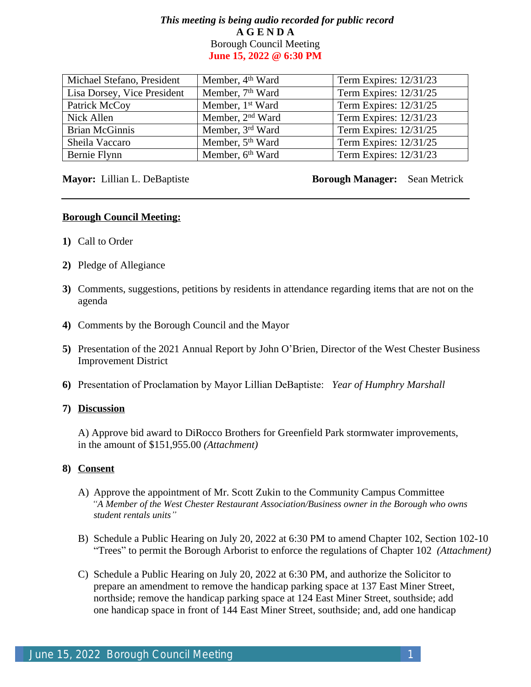# *This meeting is being audio recorded for public record* **A G E N D A** Borough Council Meeting **June 15, 2022 @ 6:30 PM**

| Michael Stefano, President  | Member, 4 <sup>th</sup> Ward | Term Expires: 12/31/23 |
|-----------------------------|------------------------------|------------------------|
| Lisa Dorsey, Vice President | Member, 7 <sup>th</sup> Ward | Term Expires: 12/31/25 |
| Patrick McCoy               | Member, 1 <sup>st</sup> Ward | Term Expires: 12/31/25 |
| Nick Allen                  | Member, 2 <sup>nd</sup> Ward | Term Expires: 12/31/23 |
| <b>Brian McGinnis</b>       | Member, 3rd Ward             | Term Expires: 12/31/25 |
| Sheila Vaccaro              | Member, 5 <sup>th</sup> Ward | Term Expires: 12/31/25 |
| Bernie Flynn                | Member, 6th Ward             | Term Expires: 12/31/23 |

**Mayor:** Lillian L. DeBaptiste **Borough Manager:** Sean Metrick

#### **Borough Council Meeting:**

- **1)** Call to Order
- **2)** Pledge of Allegiance
- **3)** Comments, suggestions, petitions by residents in attendance regarding items that are not on the agenda
- **4)** Comments by the Borough Council and the Mayor
- **5)** Presentation of the 2021 Annual Report by John O'Brien, Director of the West Chester Business Improvement District
- **6)** Presentation of Proclamation by Mayor Lillian DeBaptiste: *Year of Humphry Marshall*

#### **7) Discussion**

A) Approve bid award to DiRocco Brothers for Greenfield Park stormwater improvements, in the amount of \$151,955.00 *(Attachment)*

## **8) Consent**

- A) Approve the appointment of Mr. Scott Zukin to the Community Campus Committee *"A Member of the West Chester Restaurant Association/Business owner in the Borough who owns student rentals units"*
- B) Schedule a Public Hearing on July 20, 2022 at 6:30 PM to amend Chapter 102, Section 102-10 "Trees" to permit the Borough Arborist to enforce the regulations of Chapter 102 *(Attachment)*
- C) Schedule a Public Hearing on July 20, 2022 at 6:30 PM, and authorize the Solicitor to prepare an amendment to remove the handicap parking space at 137 East Miner Street, northside; remove the handicap parking space at 124 East Miner Street, southside; add one handicap space in front of 144 East Miner Street, southside; and, add one handicap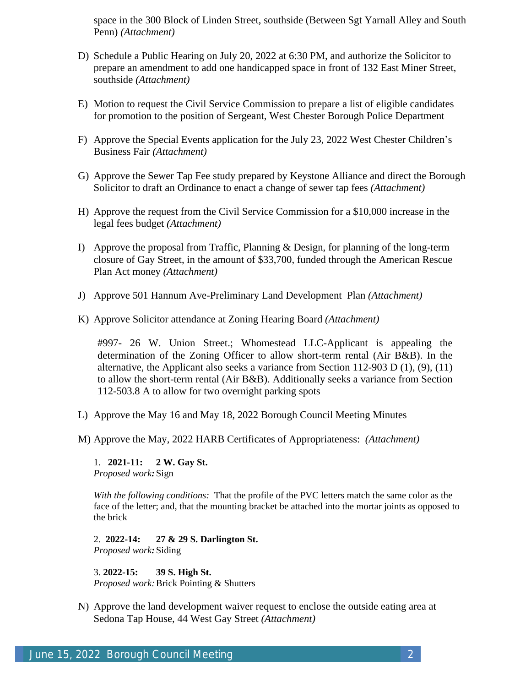space in the 300 Block of Linden Street, southside (Between Sgt Yarnall Alley and South Penn) *(Attachment)*

- D) Schedule a Public Hearing on July 20, 2022 at 6:30 PM, and authorize the Solicitor to prepare an amendment to add one handicapped space in front of 132 East Miner Street, southside *(Attachment)*
- E) Motion to request the Civil Service Commission to prepare a list of eligible candidates for promotion to the position of Sergeant, West Chester Borough Police Department
- F) Approve the Special Events application for the July 23, 2022 West Chester Children's Business Fair *(Attachment)*
- G) Approve the Sewer Tap Fee study prepared by Keystone Alliance and direct the Borough Solicitor to draft an Ordinance to enact a change of sewer tap fees *(Attachment)*
- H) Approve the request from the Civil Service Commission for a \$10,000 increase in the legal fees budget *(Attachment)*
- I) Approve the proposal from Traffic, Planning & Design, for planning of the long-term closure of Gay Street, in the amount of \$33,700, funded through the American Rescue Plan Act money *(Attachment)*
- J) Approve 501 Hannum Ave-Preliminary Land Development Plan *(Attachment)*
- K) Approve Solicitor attendance at Zoning Hearing Board *(Attachment)*

#997- 26 W. Union Street.; Whomestead LLC-Applicant is appealing the determination of the Zoning Officer to allow short-term rental (Air B&B). In the alternative, the Applicant also seeks a variance from Section 112-903 D (1), (9), (11) to allow the short-term rental (Air B&B). Additionally seeks a variance from Section 112-503.8 A to allow for two overnight parking spots

- L) Approve the May 16 and May 18, 2022 Borough Council Meeting Minutes
- M) Approve the May, 2022 HARB Certificates of Appropriateness: *(Attachment)*

1. **2021-11: 2 W. Gay St.** *Proposed work:*Sign

*With the following conditions:* That the profile of the PVC letters match the same color as the face of the letter; and, that the mounting bracket be attached into the mortar joints as opposed to the brick

2. **2022-14: 27 & 29 S. Darlington St.** *Proposed work:*Siding

3. **2022-15: 39 S. High St.** *Proposed work:*Brick Pointing & Shutters

N) Approve the land development waiver request to enclose the outside eating area at Sedona Tap House, 44 West Gay Street *(Attachment)*